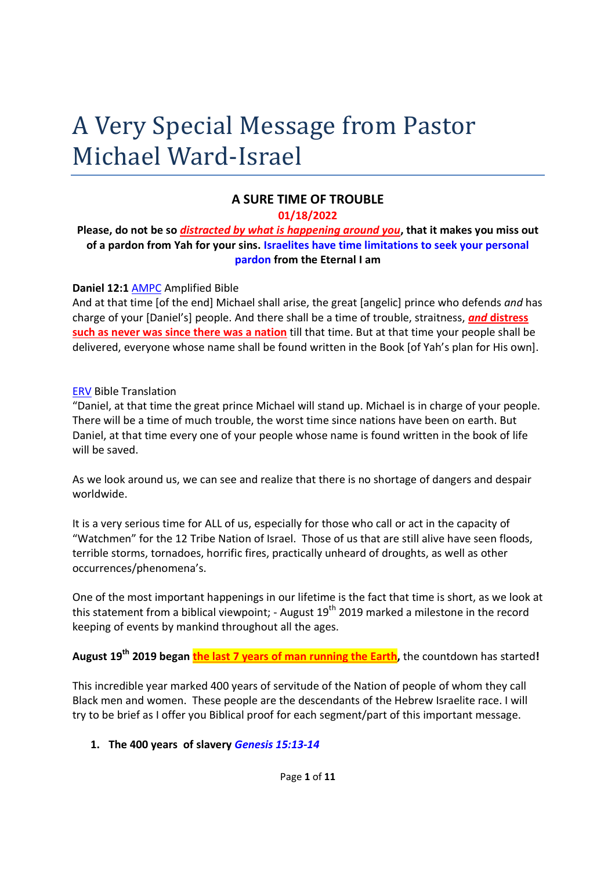# A Very Special Message from Pastor Michael Ward-Israel

## **A SURE TIME OF TROUBLE**

#### **01/18/2022**

#### **Please, do not be so** *distracted by what is happening around you***, that it makes you miss out of a pardon from Yah for your sins. Israelites have time limitations to seek your personal pardon from the Eternal I am**

#### **Daniel 12:1** AMPC Amplified Bible

And at that time [of the end] Michael shall arise, the great [angelic] prince who defends *and* has charge of your [Daniel's] people. And there shall be a time of trouble, straitness, *and* **distress such as never was since there was a nation** till that time. But at that time your people shall be delivered, everyone whose name shall be found written in the Book [of Yah's plan for His own].

#### ERV Bible Translation

"Daniel, at that time the great prince Michael will stand up. Michael is in charge of your people. There will be a time of much trouble, the worst time since nations have been on earth. But Daniel, at that time every one of your people whose name is found written in the book of life will be saved.

As we look around us, we can see and realize that there is no shortage of dangers and despair worldwide.

It is a very serious time for ALL of us, especially for those who call or act in the capacity of "Watchmen" for the 12 Tribe Nation of Israel. Those of us that are still alive have seen floods, terrible storms, tornadoes, horrific fires, practically unheard of droughts, as well as other occurrences/phenomena's.

One of the most important happenings in our lifetime is the fact that time is short, as we look at this statement from a biblical viewpoint; - August  $19<sup>th</sup>$  2019 marked a milestone in the record keeping of events by mankind throughout all the ages.

**August 19th 2019 began the last 7 years of man running the Earth,** the countdown has started**!**

This incredible year marked 400 years of servitude of the Nation of people of whom they call Black men and women. These people are the descendants of the Hebrew Israelite race. I will try to be brief as I offer you Biblical proof for each segment/part of this important message.

#### **1. The 400 years of slavery** *Genesis 15:13-14*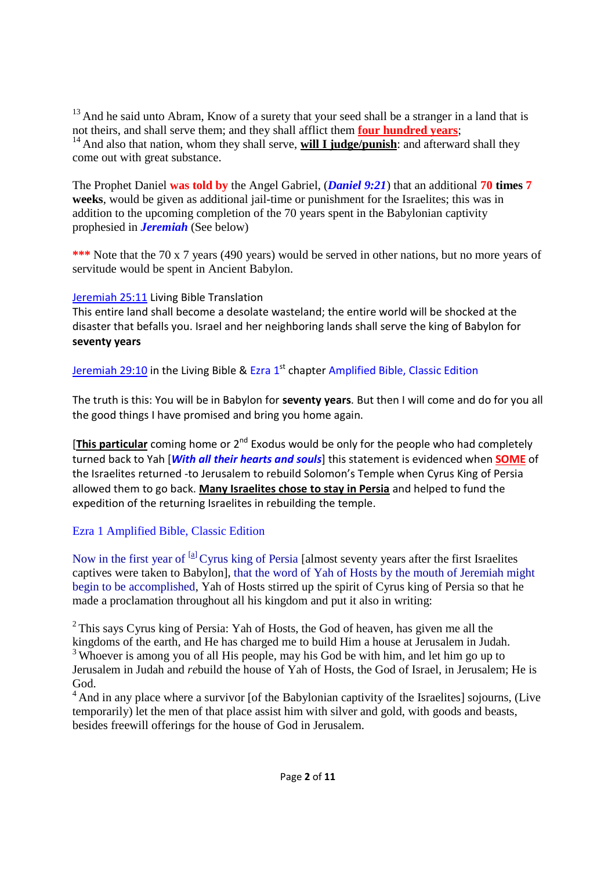$13$  And he said unto Abram, Know of a surety that your seed shall be a stranger in a land that is not theirs, and shall serve them; and they shall afflict them **four hundred years**; <sup>14</sup> And also that nation, whom they shall serve, **will I judge/punish**: and afterward shall they come out with great substance.

The Prophet Daniel **was told by** the Angel Gabriel, (*Daniel 9:21*) that an additional **70 times 7 weeks**, would be given as additional jail-time or punishment for the Israelites; this was in addition to the upcoming completion of the 70 years spent in the Babylonian captivity prophesied in *Jeremiah* (See below)

**\*\*\*** Note that the 70 x 7 years (490 years) would be served in other nations, but no more years of servitude would be spent in Ancient Babylon.

#### Jeremiah 25:11 Living Bible Translation

This entire land shall become a desolate wasteland; the entire world will be shocked at the disaster that befalls you. Israel and her neighboring lands shall serve the king of Babylon for **seventy years**

Jeremiah 29:10 in the Living Bible & Ezra 1<sup>st</sup> chapter Amplified Bible, Classic Edition

The truth is this: You will be in Babylon for **seventy years**. But then I will come and do for you all the good things I have promised and bring you home again.

[This particular coming home or 2<sup>nd</sup> Exodus would be only for the people who had completely turned back to Yah [*With all their hearts and souls*] this statement is evidenced when **SOME** of the Israelites returned -to Jerusalem to rebuild Solomon's Temple when Cyrus King of Persia allowed them to go back. **Many Israelites chose to stay in Persia** and helped to fund the expedition of the returning Israelites in rebuilding the temple.

#### Ezra 1 Amplified Bible, Classic Edition

Now in the first year of  $[<sup>a</sup>]$ Cyrus king of Persia [almost seventy years after the first Israelites captives were taken to Babylon], that the word of Yah of Hosts by the mouth of Jeremiah might begin to be accomplished, Yah of Hosts stirred up the spirit of Cyrus king of Persia so that he made a proclamation throughout all his kingdom and put it also in writing:

 $2$ <sup>2</sup> This says Cyrus king of Persia: Yah of Hosts, the God of heaven, has given me all the kingdoms of the earth, and He has charged me to build Him a house at Jerusalem in Judah. <sup>3</sup> Whoever is among you of all His people, may his God be with him, and let him go up to Jerusalem in Judah and *re*build the house of Yah of Hosts, the God of Israel, in Jerusalem; He is God.

<sup>4</sup> And in any place where a survivor [of the Babylonian captivity of the Israelites] sojourns, (Live temporarily) let the men of that place assist him with silver and gold, with goods and beasts, besides freewill offerings for the house of God in Jerusalem.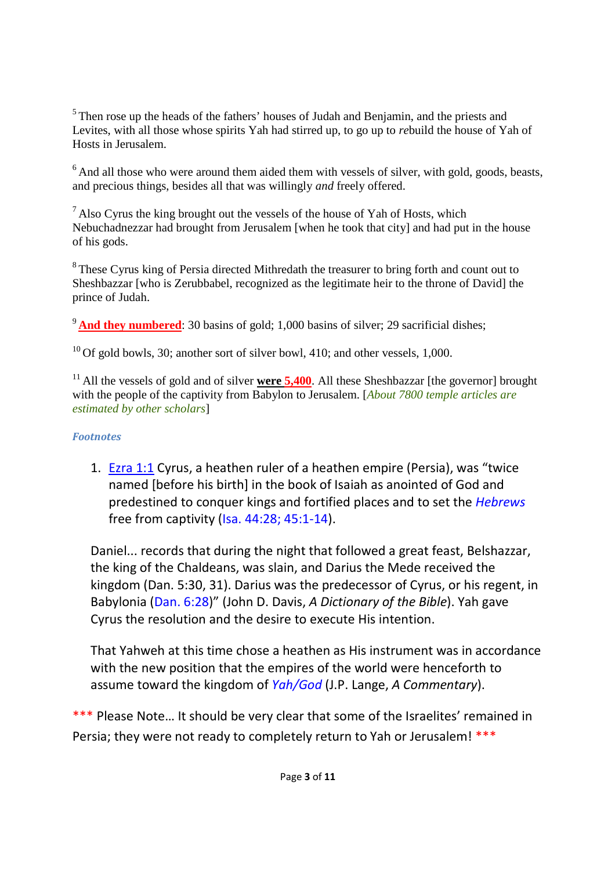<sup>5</sup> Then rose up the heads of the fathers' houses of Judah and Benjamin, and the priests and Levites, with all those whose spirits Yah had stirred up, to go up to *re*build the house of Yah of Hosts in Jerusalem.

<sup>6</sup> And all those who were around them aided them with vessels of silver, with gold, goods, beasts, and precious things, besides all that was willingly *and* freely offered.

 $<sup>7</sup>$  Also Cyrus the king brought out the vessels of the house of Yah of Hosts, which</sup> Nebuchadnezzar had brought from Jerusalem [when he took that city] and had put in the house of his gods.

<sup>8</sup> These Cyrus king of Persia directed Mithredath the treasurer to bring forth and count out to Sheshbazzar [who is Zerubbabel, recognized as the legitimate heir to the throne of David] the prince of Judah.

<sup>9</sup> And they numbered: 30 basins of gold; 1,000 basins of silver; 29 sacrificial dishes;

 $10$  Of gold bowls, 30; another sort of silver bowl, 410; and other vessels, 1,000.

<sup>11</sup> All the vessels of gold and of silver **were 5,400**. All these Sheshbazzar [the governor] brought with the people of the captivity from Babylon to Jerusalem. [*About 7800 temple articles are estimated by other scholars*]

# *Footnotes*

1. Ezra 1:1 Cyrus, a heathen ruler of a heathen empire (Persia), was "twice named [before his birth] in the book of Isaiah as anointed of God and predestined to conquer kings and fortified places and to set the *Hebrews* free from captivity (Isa. 44:28; 45:1-14).

Daniel... records that during the night that followed a great feast, Belshazzar, the king of the Chaldeans, was slain, and Darius the Mede received the kingdom (Dan. 5:30, 31). Darius was the predecessor of Cyrus, or his regent, in Babylonia (Dan. 6:28)" (John D. Davis, *A Dictionary of the Bible*). Yah gave Cyrus the resolution and the desire to execute His intention.

That Yahweh at this time chose a heathen as His instrument was in accordance with the new position that the empires of the world were henceforth to assume toward the kingdom of *Yah/God* (J.P. Lange, *A Commentary*).

\*\*\* Please Note... It should be very clear that some of the Israelites' remained in Persia; they were not ready to completely return to Yah or Jerusalem! \*\*\*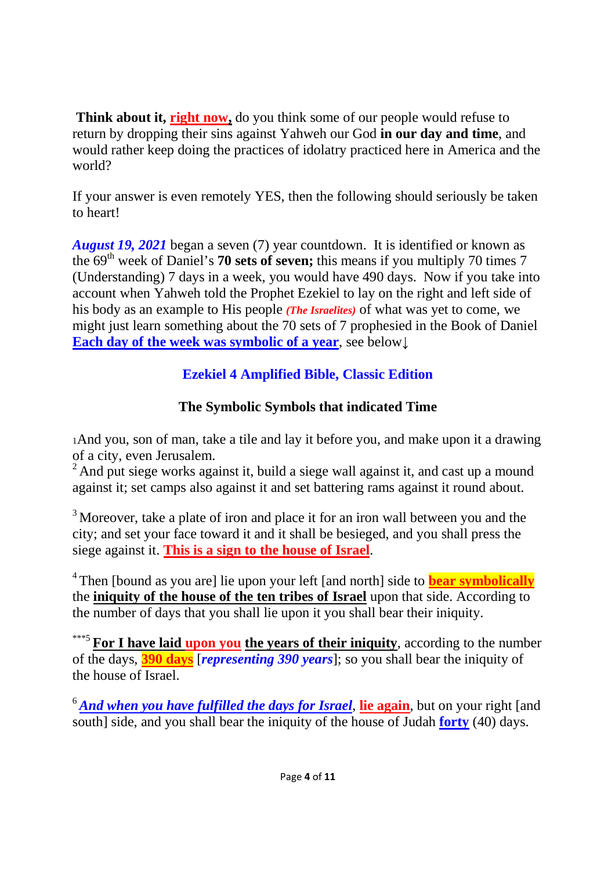**Think about it, right now,** do you think some of our people would refuse to return by dropping their sins against Yahweh our God **in our day and time**, and would rather keep doing the practices of idolatry practiced here in America and the world?

If your answer is even remotely YES, then the following should seriously be taken to heart!

*August 19, 2021* began a seven (7) year countdown. It is identified or known as the 69th week of Daniel's **70 sets of seven;** this means if you multiply 70 times 7 (Understanding) 7 days in a week, you would have 490 days. Now if you take into account when Yahweh told the Prophet Ezekiel to lay on the right and left side of his body as an example to His people *(The Israelites)* of what was yet to come, we might just learn something about the 70 sets of 7 prophesied in the Book of Daniel **Each day of the week was symbolic of a year**, see below**↓**

# **Ezekiel 4 Amplified Bible, Classic Edition**

# **The Symbolic Symbols that indicated Time**

<sup>1</sup>And you, son of man, take a tile and lay it before you, and make upon it a drawing of a city, even Jerusalem.

<sup>2</sup> And put siege works against it, build a siege wall against it, and cast up a mound against it; set camps also against it and set battering rams against it round about.

 $3$  Moreover, take a plate of iron and place it for an iron wall between you and the city; and set your face toward it and it shall be besieged, and you shall press the siege against it. **This is a sign to the house of Israel**.

<sup>4</sup> Then [bound as you are] lie upon your left [and north] side to **bear symbolically** the **iniquity of the house of the ten tribes of Israel** upon that side. According to the number of days that you shall lie upon it you shall bear their iniquity.

\*\*\*5 **For I have laid upon you the years of their iniquity**, according to the number of the days, **390 days** [*representing 390 years*]; so you shall bear the iniquity of the house of Israel.

<sup>6</sup>*And when you have fulfilled the days for Israel*, **lie again**, but on your right [and south] side, and you shall bear the iniquity of the house of Judah **forty** (40) days.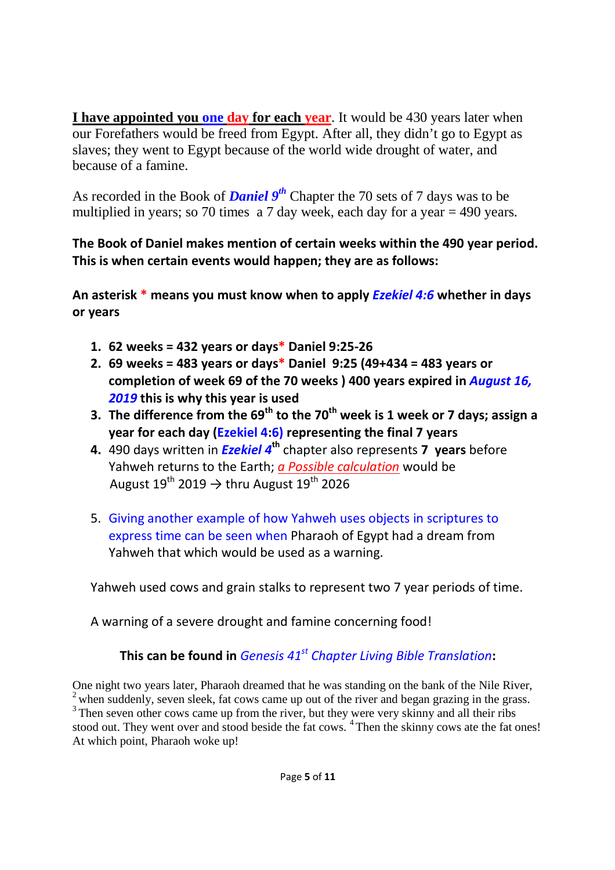**I have appointed you one day for each year**. It would be 430 years later when our Forefathers would be freed from Egypt. After all, they didn't go to Egypt as slaves; they went to Egypt because of the world wide drought of water, and because of a famine.

As recorded in the Book of *Daniel 9th* Chapter the 70 sets of 7 days was to be multiplied in years; so 70 times a 7 day week, each day for a year = 490 years.

# **The Book of Daniel makes mention of certain weeks within the 490 year period. This is when certain events would happen; they are as follows:**

**An asterisk \* means you must know when to apply** *Ezekiel 4:6* **whether in days or years**

- **1. 62 weeks = 432 years or days\* Daniel 9:25-26**
- **2. 69 weeks = 483 years or days\* Daniel 9:25 (49+434 = 483 years or completion of week 69 of the 70 weeks ) 400 years expired in** *August 16, 2019* **this is why this year is used**
- **3. The difference from the 69th to the 70th week is 1 week or 7 days; assign a year for each day (Ezekiel 4:6) representing the final 7 years**
- **4.** 490 days written in *Ezekiel 4***th** chapter also represents **7 years** before Yahweh returns to the Earth; *a Possible calculation* would be August 19 $^{\text{th}}$  2019  $\rightarrow$  thru August 19 $^{\text{th}}$  2026
- 5. Giving another example of how Yahweh uses objects in scriptures to express time can be seen when Pharaoh of Egypt had a dream from Yahweh that which would be used as a warning.

Yahweh used cows and grain stalks to represent two 7 year periods of time.

A warning of a severe drought and famine concerning food!

# **This can be found in** *Genesis 41st Chapter Living Bible Translation***:**

One night two years later, Pharaoh dreamed that he was standing on the bank of the Nile River, <sup>2</sup> when suddenly, seven sleek, fat cows came up out of the river and began grazing in the grass. <sup>3</sup> Then seven other cows came up from the river, but they were very skinny and all their ribs stood out. They went over and stood beside the fat cows. <sup>4</sup> Then the skinny cows ate the fat ones! At which point, Pharaoh woke up!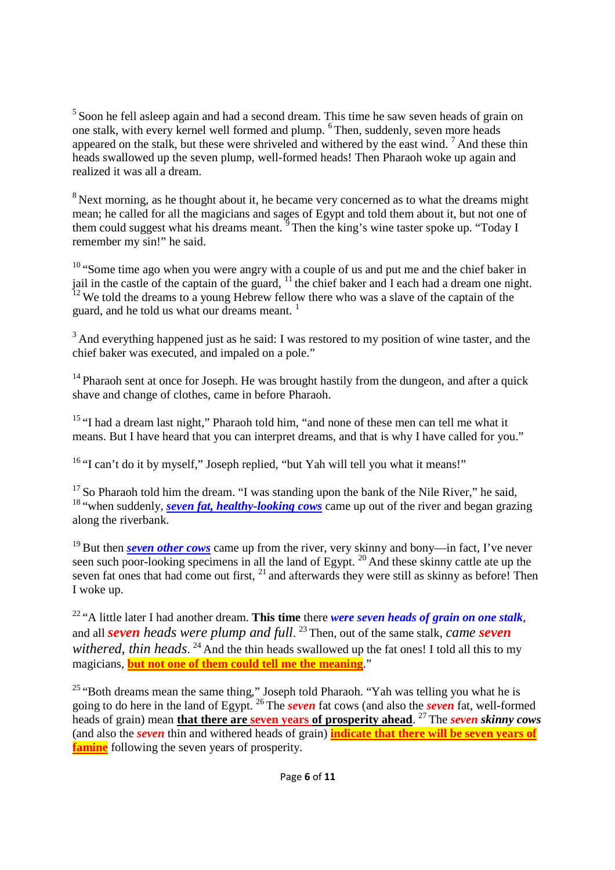<sup>5</sup> Soon he fell asleep again and had a second dream. This time he saw seven heads of grain on one stalk, with every kernel well formed and plump. <sup>6</sup> Then, suddenly, seven more heads appeared on the stalk, but these were shriveled and withered by the east wind. <sup>7</sup> And these thin heads swallowed up the seven plump, well-formed heads! Then Pharaoh woke up again and realized it was all a dream.

<sup>8</sup> Next morning, as he thought about it, he became very concerned as to what the dreams might mean; he called for all the magicians and sages of Egypt and told them about it, but not one of them could suggest what his dreams meant.  $\frac{9}{9}$  Then the king's wine taster spoke up. "Today I remember my sin!" he said.

<sup>10</sup> "Some time ago when you were angry with a couple of us and put me and the chief baker in jail in the castle of the captain of the guard,  $11$  the chief baker and I each had a dream one night.  $12$ <sup>12</sup> We told the dreams to a young Hebrew fellow there who was a slave of the captain of the guard, and he told us what our dreams meant.<sup>1</sup>

<sup>3</sup> And everything happened just as he said: I was restored to my position of wine taster, and the chief baker was executed, and impaled on a pole."

 $14$  Pharaoh sent at once for Joseph. He was brought hastily from the dungeon, and after a quick shave and change of clothes, came in before Pharaoh.

<sup>15</sup> "I had a dream last night," Pharaoh told him, "and none of these men can tell me what it means. But I have heard that you can interpret dreams, and that is why I have called for you."

<sup>16</sup> "I can't do it by myself," Joseph replied, "but Yah will tell you what it means!"

 $17$  So Pharaoh told him the dream. "I was standing upon the bank of the Nile River," he said, <sup>18</sup> "when suddenly, *seven fat, healthy-looking cows* came up out of the river and began grazing along the riverbank.

<sup>19</sup> But then *seven other cows* came up from the river, very skinny and bony—in fact, I've never seen such poor-looking specimens in all the land of Egypt.<sup>20</sup> And these skinny cattle ate up the seven fat ones that had come out first, <sup>21</sup> and afterwards they were still as skinny as before! Then I woke up.

<sup>22</sup> "A little later I had another dream. **This time** there *were seven heads of grain on one stalk*, and all *seven heads were plump and full*. <sup>23</sup> Then, out of the same stalk, *came seven* withered, thin heads. <sup>24</sup> And the thin heads swallowed up the fat ones! I told all this to my magicians, **but not one of them could tell me the meaning**."

<sup>25</sup> "Both dreams mean the same thing," Joseph told Pharaoh. "Yah was telling you what he is going to do here in the land of Egypt. <sup>26</sup> The *seven* fat cows (and also the *seven* fat, well-formed heads of grain) mean **that there are seven years of prosperity ahead**. <sup>27</sup> The *seven skinny cows* (and also the *seven* thin and withered heads of grain) **indicate that there will be seven years of famine** following the seven years of prosperity.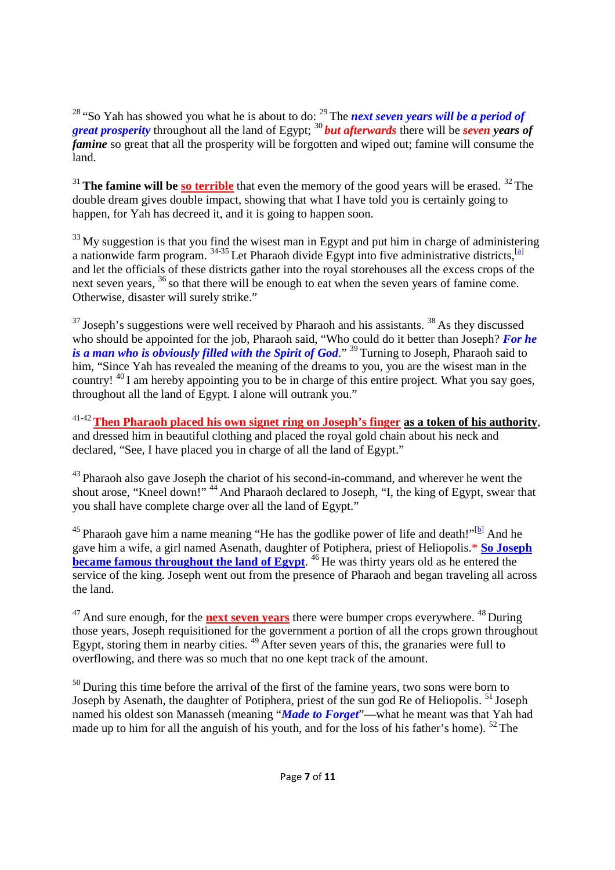<sup>28</sup> "So Yah has showed you what he is about to do: <sup>29</sup> The *next seven years will be a period of great prosperity* throughout all the land of Egypt; <sup>30</sup> *but afterwards* there will be *seven years of famine* so great that all the prosperity will be forgotten and wiped out; famine will consume the land.

<sup>31</sup> **The famine will be so terrible** that even the memory of the good years will be erased. <sup>32</sup> The double dream gives double impact, showing that what I have told you is certainly going to happen, for Yah has decreed it, and it is going to happen soon.

 $33$  My suggestion is that you find the wisest man in Egypt and put him in charge of administering a nationwide farm program.  $34-35$  Let Pharaoh divide Egypt into five administrative districts, [a] and let the officials of these districts gather into the royal storehouses all the excess crops of the next seven years, <sup>36</sup> so that there will be enough to eat when the seven years of famine come. Otherwise, disaster will surely strike."

 $37$  Joseph's suggestions were well received by Pharaoh and his assistants.  $38$  As they discussed who should be appointed for the job, Pharaoh said, "Who could do it better than Joseph? *For he is a man who is obviously filled with the Spirit of God.*"<sup>39</sup> Turning to Joseph, Pharaoh said to him, "Since Yah has revealed the meaning of the dreams to you, you are the wisest man in the country!  $^{40}$  I am hereby appointing you to be in charge of this entire project. What you say goes, throughout all the land of Egypt. I alone will outrank you."

41-42**Then Pharaoh placed his own signet ring on Joseph's finger as a token of his authority**, and dressed him in beautiful clothing and placed the royal gold chain about his neck and declared, "See, I have placed you in charge of all the land of Egypt."

<sup>43</sup> Pharaoh also gave Joseph the chariot of his second-in-command, and wherever he went the shout arose, "Kneel down!" <sup>44</sup> And Pharaoh declared to Joseph, "I, the king of Egypt, swear that you shall have complete charge over all the land of Egypt."

<sup>45</sup> Pharaoh gave him a name meaning "He has the godlike power of life and death!"<sup>[b]</sup> And he gave him a wife, a girl named Asenath, daughter of Potiphera, priest of Heliopolis.\* **So Joseph became famous throughout the land of Egypt.** <sup>46</sup> He was thirty years old as he entered the service of the king. Joseph went out from the presence of Pharaoh and began traveling all across the land.

<sup>47</sup> And sure enough, for the **next seven years** there were bumper crops everywhere. <sup>48</sup> During those years, Joseph requisitioned for the government a portion of all the crops grown throughout Egypt, storing them in nearby cities. <sup>49</sup> After seven years of this, the granaries were full to overflowing, and there was so much that no one kept track of the amount.

 $50$  During this time before the arrival of the first of the famine years, two sons were born to Joseph by Asenath, the daughter of Potiphera, priest of the sun god Re of Heliopolis.<sup>51</sup> Joseph named his oldest son Manasseh (meaning "*Made to Forget*"—what he meant was that Yah had made up to him for all the anguish of his youth, and for the loss of his father's home). <sup>52</sup> The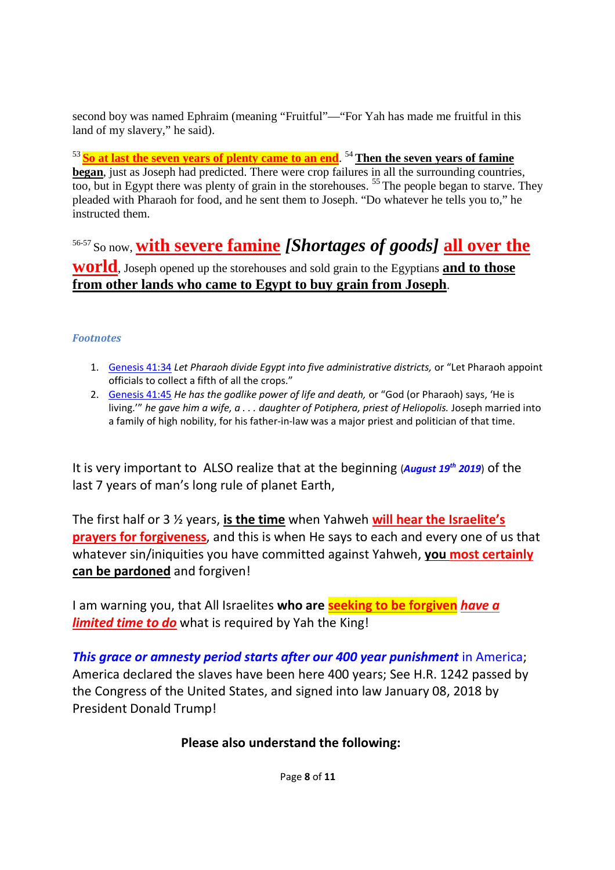second boy was named Ephraim (meaning "Fruitful"—"For Yah has made me fruitful in this land of my slavery," he said).

<sup>53</sup> **So at last the seven years of plenty came to an end**. <sup>54</sup> **Then the seven years of famine began**, just as Joseph had predicted. There were crop failures in all the surrounding countries, too, but in Egypt there was plenty of grain in the storehouses.<sup>55</sup> The people began to starve. They pleaded with Pharaoh for food, and he sent them to Joseph. "Do whatever he tells you to," he instructed them.

56-57 So now, **with severe famine** *[Shortages of goods]* **all over the world**, Joseph opened up the storehouses and sold grain to the Egyptians **and to those from other lands who came to Egypt to buy grain from Joseph**.

#### *Footnotes*

- 1. Genesis 41:34 *Let Pharaoh divide Egypt into five administrative districts,* or "Let Pharaoh appoint officials to collect a fifth of all the crops."
- 2. Genesis 41:45 *He has the godlike power of life and death,* or "God (or Pharaoh) says, 'He is living.'" *he gave him a wife, a . . . daughter of Potiphera, priest of Heliopolis.* Joseph married into a family of high nobility, for his father-in-law was a major priest and politician of that time.

It is very important to ALSO realize that at the beginning (*August 19th 2019*) of the last 7 years of man's long rule of planet Earth,

The first half or 3 ½ years, **is the time** when Yahweh **will hear the Israelite's prayers for forgiveness**, and this is when He says to each and every one of us that whatever sin/iniquities you have committed against Yahweh, **you most certainly can be pardoned** and forgiven!

I am warning you, that All Israelites **who are seeking to be forgiven** *have a limited time to do* what is required by Yah the King!

*This grace or amnesty period starts after our 400 year punishment* in America; America declared the slaves have been here 400 years; See H.R. 1242 passed by the Congress of the United States, and signed into law January 08, 2018 by President Donald Trump!

#### **Please also understand the following:**

Page **8** of **11**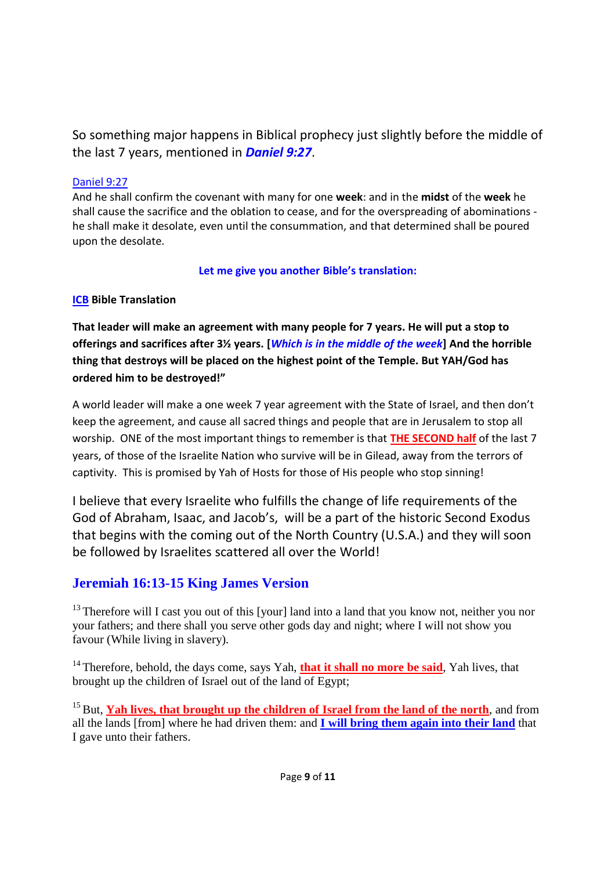So something major happens in Biblical prophecy just slightly before the middle of the last 7 years, mentioned in *Daniel 9:27*.

#### Daniel 9:27

And he shall confirm the covenant with many for one **week**: and in the **midst** of the **week** he shall cause the sacrifice and the oblation to cease, and for the overspreading of abominations he shall make it desolate, even until the consummation, and that determined shall be poured upon the desolate.

**Let me give you another Bible's translation:**

#### **ICB Bible Translation**

**That leader will make an agreement with many people for 7 years. He will put a stop to offerings and sacrifices after 3½ years. [***Which is in the middle of the week***] And the horrible thing that destroys will be placed on the highest point of the Temple. But YAH/God has ordered him to be destroyed!"**

A world leader will make a one week 7 year agreement with the State of Israel, and then don't keep the agreement, and cause all sacred things and people that are in Jerusalem to stop all worship. ONE of the most important things to remember is that **THE SECOND half** of the last 7 years, of those of the Israelite Nation who survive will be in Gilead, away from the terrors of captivity. This is promised by Yah of Hosts for those of His people who stop sinning!

I believe that every Israelite who fulfills the change of life requirements of the God of Abraham, Isaac, and Jacob's, will be a part of the historic Second Exodus that begins with the coming out of the North Country (U.S.A.) and they will soon be followed by Israelites scattered all over the World!

## **Jeremiah 16:13-15 King James Version**

<sup>13</sup> Therefore will I cast you out of this [your] land into a land that you know not, neither you nor your fathers; and there shall you serve other gods day and night; where I will not show you favour (While living in slavery).

<sup>14</sup> Therefore, behold, the days come, says Yah, **that it shall no more be said**, Yah lives, that brought up the children of Israel out of the land of Egypt;

<sup>15</sup> But, **Yah lives, that brought up the children of Israel from the land of the north**, and from all the lands [from] where he had driven them: and **I will bring them again into their land** that I gave unto their fathers.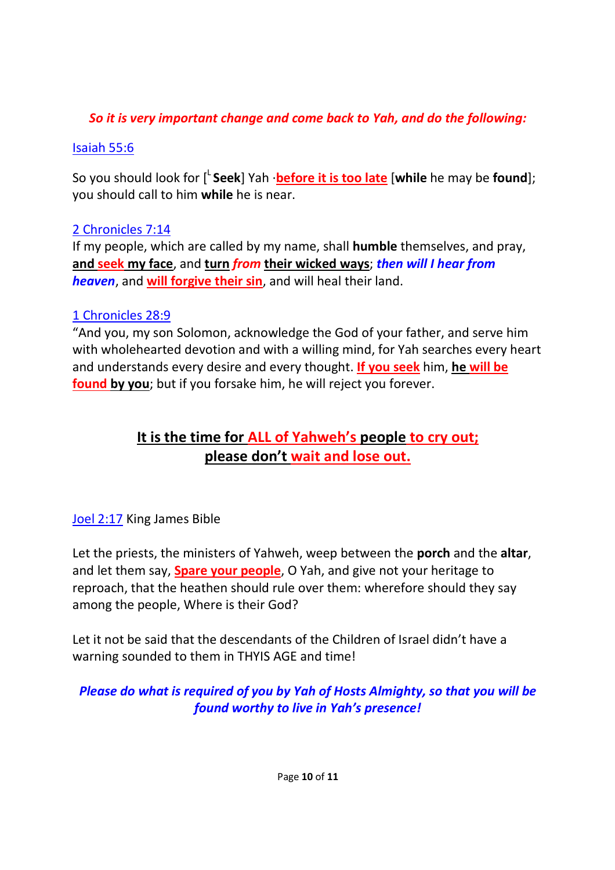# *So it is very important change and come back to Yah, and do the following:*

# Isaiah 55:6

So you should look for [<sup>L</sup> **Seek**] Yah ·**before it is too late** [**while** he may be **found**]; you should call to him **while** he is near.

# 2 Chronicles 7:14

If my people, which are called by my name, shall **humble** themselves, and pray, **and seek my face**, and **turn** *from* **their wicked ways**; *then will I hear from heaven*, and **will forgive their sin**, and will heal their land.

# 1 Chronicles 28:9

"And you, my son Solomon, acknowledge the God of your father, and serve him with wholehearted devotion and with a willing mind, for Yah searches every heart and understands every desire and every thought. **If you seek** him, **he will be found by you**; but if you forsake him, he will reject you forever.

# **It is the time for ALL of Yahweh's people to cry out; please don't wait and lose out.**

# Joel 2:17 King James Bible

Let the priests, the ministers of Yahweh, weep between the **porch** and the **altar**, and let them say, **Spare your people**, O Yah, and give not your heritage to reproach, that the heathen should rule over them: wherefore should they say among the people, Where is their God?

Let it not be said that the descendants of the Children of Israel didn't have a warning sounded to them in THYIS AGE and time!

# *Please do what is required of you by Yah of Hosts Almighty, so that you will be found worthy to live in Yah's presence!*